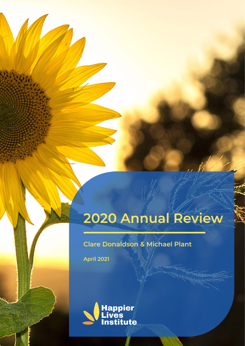# 2020 Annual Review

# **Clare Donaldson & Michael Plant**

**April 2021** 

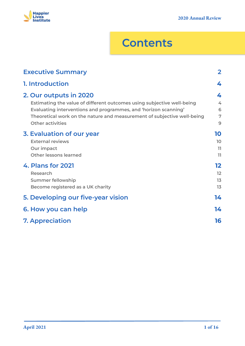

# **Contents**

| <b>Executive Summary</b>                                                                                                                                                                                                                                                  | $\mathbf{2}$          |
|---------------------------------------------------------------------------------------------------------------------------------------------------------------------------------------------------------------------------------------------------------------------------|-----------------------|
| 1. Introduction                                                                                                                                                                                                                                                           | 4                     |
| 2. Our outputs in 2020<br>Estimating the value of different outcomes using subjective well-being<br>Evaluating interventions and programmes, and 'horizon scanning'<br>Theoretical work on the nature and measurement of subjective well-being<br><b>Other activities</b> | 4<br>4<br>6<br>7<br>9 |
| 3. Evaluation of our year<br><b>External reviews</b><br>Our impact<br><b>Other lessons learned</b>                                                                                                                                                                        | 10<br>10<br>11<br>11  |
| 4. Plans for 2021<br>Research<br><b>Summer fellowship</b><br>Become registered as a UK charity                                                                                                                                                                            | 12<br>12<br>13<br>13  |
| 5. Developing our five-year vision                                                                                                                                                                                                                                        | 14                    |
| 6. How you can help                                                                                                                                                                                                                                                       | 14                    |
| <b>7. Appreciation</b>                                                                                                                                                                                                                                                    | 16                    |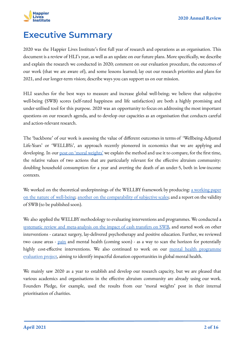

# <span id="page-2-0"></span>**Executive Summary**

2020 was the Happier Lives Institute's first full year of research and operations as an organisation. This document is a review of HLI's year, as well as an update on our future plans. More specifically, we describe and explain the research we conducted in 2020; comment on our evaluation procedure, the outcomes of our work (that we are aware of), and some lessons learned; lay out our research priorities and plans for 2021, and our longer-term vision; describe ways you can support us on our mission.

HLI searches for the best ways to measure and increase global well-being; we believe that subjective well-being (SWB) scores (self-rated happiness and life satisfaction) are both a highly promising and under-utilised tool for this purpose. 2020 was an opportunity to focus on addressing the most important questions on our research agenda, and to develop our capacities as an organisation that conducts careful and action-relevant research.

The 'backbone' of our work is assessing the value of different outcomes in terms of 'Wellbeing-Adjusted Life-Years' or 'WELLBYs', an approach recently pioneered in economics that we are applying and developing. In our <u>[post on 'moral weights'](https://www.happierlivesinstitute.org/moral-weights.html)</u> we explain the method and use it to compare, for the first time, the relative values of two actions that are particularly relevant for the effective altruism community: doubling household consumption for a year and averting the death of an under-5, both in low-income contexts.

We worked on the theoretical underpinnings of the WELLBY framework by producing: [a working paper](https://www.happierlivesinstitute.org/life-satisfaction-theories.html) [on the nature of well-being;](https://www.happierlivesinstitute.org/life-satisfaction-theories.html) [another on the comparability of subjective scales](https://www.happierlivesinstitute.org/subjective-scales-comparability.html); and a report on the validity of SWB (to be published soon).

We also applied the WELLBY methodology to evaluating interventions and programmes. We conducted a [systematic review and meta-analysis on the impact of cash transfers on SWB,](https://www.happierlivesinstitute.org/cash-transfers.html) and started work on other interventions - cataract surgery, lay-delivered psychotherapy and positive education. Further, we reviewed two cause areas - [pain](https://www.happierlivesinstitute.org/problem-area-pain.html) and mental health (coming soon) - as a way to scan the horizon for potentially highly cost-effective interventions. We also continued to work on our [mental health programme](https://www.happierlivesinstitute.org/mental-health-programme-evaluation.html) [evaluation project,](https://www.happierlivesinstitute.org/mental-health-programme-evaluation.html) aiming to identify impactful donation opportunities in global mental health.

We mainly saw 2020 as a year to establish and develop our research capacity, but we are pleased that various academics and organisations in the effective altruism community are already using our work. Founders Pledge, for example, used the results from our 'moral weights' post in their internal prioritisation of charities.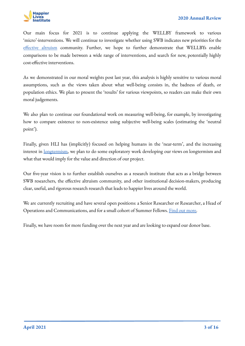

Our main focus for 2021 is to continue applying the WELLBY framework to various 'micro'-interventions. We will continue to investigate whether using SWB indicates new priorities for the [effective altruism](https://www.effectivealtruism.org/articles/introduction-to-effective-altruism/) community. Further, we hope to further demonstrate that WELLBYs enable comparisons to be made between a wide range of interventions, and search for new, potentially highly cost-effective interventions.

As we demonstrated in our moral weights post last year, this analysis is highly sensitive to various moral assumptions, such as the views taken about what well-being consists in, the badness of death, or population ethics. We plan to present the 'results' for various viewpoints, so readers can make their own moral judgements.

We also plan to continue our foundational work on measuring well-being, for example, by investigating how to compare existence to non-existence using subjective well-being scales (estimating the 'neutral point').

Finally, given HLI has (implicitly) focused on helping humans in the 'near-term', and the increasing interest in [longtermism,](https://www.effectivealtruism.org/articles/cause-profile-long-run-future/) we plan to do some exploratory work developing our views on longtermism and what that would imply for the value and direction of our project.

Our five-year vision is to further establish ourselves as a research institute that acts as a bridge between SWB researchers, the effective altruism community, and other institutional decision-makers, producing clear, useful, and rigorous research research that leads to happier lives around the world.

We are currently recruiting and have several open positions: a Senior Researcher or Researcher, a Head of Operations and Communications, and for a small cohort of Summer Fellows. **Find out more**.

Finally, we have room for more funding over the next year and are looking to expand our donor base.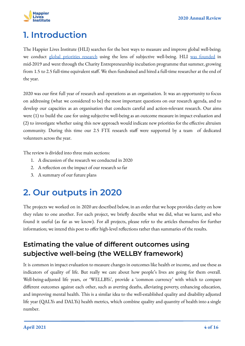

# <span id="page-4-0"></span>**1. Introduction**

The Happier Lives Institute (HLI) searches for the best ways to measure and improve global well-being; we conduct [global priorities research](https://80000hours.org/problem-profiles/global-priorities-research/#what-is-global-priorities-research) using the lens of subjective well-being. HLI [was founded](https://forum.effectivealtruism.org/posts/fqCP7cHwjcQCi42gh/announcing-the-launch-of-the-happier-lives-institute-1) in mid-2019 and went through the Charity Entrepreneurship incubation programme that summer, growing from 1.5 to 2.5 full-time equivalent staff. We then fundraised and hired a full-time researcher at the end of the year.

2020 was our first full year of research and operations as an organisation. It was an opportunity to focus on addressing (what we considered to be) the most important questions on our research agenda, and to develop our capacities as an organisation that conducts careful and action-relevant research. Our aims were (1) to build the case for using subjective well-being as an outcome measure in impact evaluation and (2) to investigate whether using this new approach would indicate new priorities for the effective altruism community. During this time our 2.5 FTE research staff were supported by a team of dedicated volunteers across the year.

The review is divided into three main sections:

- 1. A discussion of the research we conducted in 2020
- 2. A reflection on the impact of our research so far
- 3. A summary of our future plans

# <span id="page-4-1"></span>**2. Our outputs in 2020**

The projects we worked on in 2020 are described below, in an order that we hope provides clarity on how they relate to one another. For each project, we briefly describe what we did, what we learnt, and who found it useful (as far as we know). For all projects, please refer to the articles themselves for further information; we intend this post to offer high-level reflections rather than summaries of the results.

### <span id="page-4-2"></span>**Estimating the value of different outcomes using subjective well-being (the WELLBY framework)**

It is common in impact evaluation to measure changes in outcomes like health or income, and use these as indicators of quality of life. But really we care about how people's lives are going for them overall. Well-being-adjusted life years, or 'WELLBYs', provide a 'common currency' with which to compare different outcomes against each other, such as averting deaths, alleviating poverty, enhancing education, and improving mental health. This is a similar idea to the well-established quality and disability adjusted life year (QALYs and DALYs) health metrics, which combine quality and quantity of health into a single number.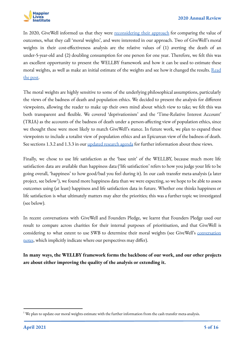

In 2020, GiveWell informed us that they were [reconsidering their approach](https://www.givewell.org/how-we-work/our-criteria/cost-effectiveness/2019-moral-weights-research) for comparing the value of outcomes, what they call 'moral weights', and were interested in our approach. Two of GiveWell's moral weights in their cost-effectiveness analysis are the relative values of (1) averting the death of an under-5-year-old and (2) doubling consumption for one person for one year. Therefore, we felt this was an excellent opportunity to present the WELLBY framework and how it can be used to estimate these moral weights, as well as make an initial estimate of the weights and see how it changed the results. [Read](https://forum.effectivealtruism.org/posts/xgxzCkpKQsPwrd5W7/using-subjective-well-being-to-estimate-the-moral-weights-of-2) [the post.](https://forum.effectivealtruism.org/posts/xgxzCkpKQsPwrd5W7/using-subjective-well-being-to-estimate-the-moral-weights-of-2)

The moral weights are highly sensitive to some of the underlying philosophical assumptions, particularly the views of the badness of death and population ethics. We decided to present the analysis for different viewpoints, allowing the reader to make up their own mind about which view to take; we felt this was both transparent and flexible. We covered 'deprivationism' and the 'Time-Relative Interest Account' (TRIA) as the accounts of the badness of death under a person-affecting view of population ethics, since we thought these were most likely to match GiveWell's stance. In future work, we plan to expand these viewpoints to include a totalist view of population ethics and an Epicurean view of the badness of death. See sections 1.3.2 and 1.3.3 in our [updated research agenda](https://www.happierlivesinstitute.org/research-agenda.html) for further information about these views.

Finally, we chose to use life satisfaction as the 'base unit' of the WELLBY, because much more life satisfaction data are available than happiness data ('life satisfaction' refers to how you judge your life to be going overall, 'happiness' to how good/bad you feel during it). In our cash transfer meta-analysis (a later project, see below $^1$ ), we found more happiness data than we were expecting, so we hope to be able to assess outcomes using (at least) happiness and life satisfaction data in future. Whether one thinks happiness or life satisfaction is what ultimately matters may alter the priorities; this was a further topic we investigated (see below).

In recent conversations with GiveWell and Founders Pledge, we learnt that Founders Pledge used our result to compare across charities for their internal purposes of prioritisation, and that GiveWell is considering to what extent to use SWB to determine their moral weights (see GiveWell's [conversation](https://docs.google.com/document/d/16hDzQvdQ7dhOoFlewNK9cMuq5Kox3ZxR2CpCZwKUtJg/edit) [notes](https://docs.google.com/document/d/16hDzQvdQ7dhOoFlewNK9cMuq5Kox3ZxR2CpCZwKUtJg/edit), which implicitly indicate where our perspectives may differ).

**In many ways, the WELLBY framework forms the backbone of our work, and our other projects are about either improving the quality of the analysis or extending it.**

 $1$ <sup>We</sup> plan to update our moral weights estimate with the further information from the cash transfer meta-analysis.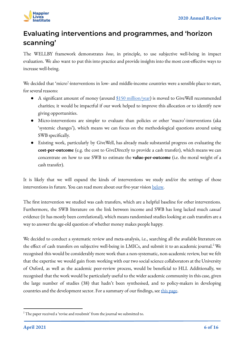

## <span id="page-6-0"></span>**Evaluating interventions and programmes, and 'horizon scanning'**

The WELLBY framework demonstrates *how*, in principle, to use subjective well-being in impact evaluation. We also want to put this into practice and provide insights into the most cost-effective ways to increase well-being.

We decided that 'micro'-interventions in low- and middle-income countries were a sensible place to start, for several reasons:

- A significant amount of money (around [\\$150 million/year\)](https://blog.givewell.org/2020/12/09/givewells-money-moved-in-2019/) is moved to GiveWell recommended charities; it would be impactful if our work helped to improve this allocation or to identify new giving opportunities.
- Micro-interventions are simpler to evaluate than policies or other 'macro'-interventions (aka 'systemic changes'), which means we can focus on the methodological questions around using SWB specifically.
- Existing work, particularly by GiveWell, has already made substantial progress on evaluating the **cost-per-outcome** (e.g. the cost to GiveDirectly to provide a cash transfer), which means we can concentrate on how to use SWB to estimate the **value-per-outcome** (i.e. the moral weight of a cash transfer).

It is likely that we will expand the kinds of interventions we study and/or the settings of those interventions in future. You can read more about our five-year vision below.

The first intervention we studied was cash transfers, which are a helpful baseline for other interventions. Furthermore, the SWB literature on the link between income and SWB has long lacked much *causal* evidence (it has mostly been correlational), which means randomised studies looking at cash transfers are a way to answer the age-old question of whether money makes people happy.

We decided to conduct a systematic review and meta-analysis, i.e., searching all the available literature on the effect of cash transfers on subjective well-being in LMICs, and submit it to an academic journal.<sup>2</sup> We recognised this would be considerably more work than a non-systematic, non-academic review, but we felt that the expertise we would gain from working with our two social science collaborators at the University of Oxford, as well as the academic peer-review process, would be beneficial to HLI. Additionally, we recognised that the work would be particularly useful to the wider academic community in this case, given the large number of studies (38) that hadn't been synthesised, and to policy-makers in developing countries and the development sector. For a summary of our findings, see [this page](https://www.happierlivesinstitute.org/cash-transfers.html).

 $2$ <sup>2</sup> The paper received a 'revise and resubmit' from the journal we submitted to.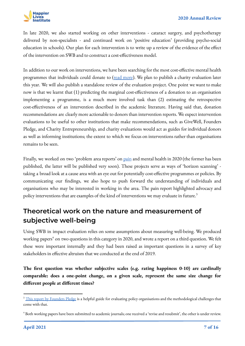

In late 2020, we also started working on other interventions - cataract surgery, and psychotherapy delivered by non-specialists - and continued work on 'positive education' (providing psycho-social education in schools). Our plan for each intervention is to write up a review of the evidence of the effect of the intervention on SWB and to construct a cost-effectiveness model.

In addition to our work on interventions, we have been searching for the most cost-effective mental health programmes that individuals could donate to ([read more](https://www.happierlivesinstitute.org/mental-health-programme-evaluation.html)). We plan to publish a charity evaluation later this year. We will also publish a standalone review of the evaluation project. One point we want to make now is that we learnt that (1) predicting the marginal cost-effectiveness of a donation to an organisation implementing a programme, is a much more involved task than (2) estimating the retrospective cost-effectiveness of an intervention described in the academic literature. Having said that, donation recommendations are clearly more actionable to donors than intervention reports. We expect intervention evaluations to be useful to other institutions that make recommendations, such as GiveWell, Founders Pledge, and Charity Entrepreneurship, and charity evaluations would act as guides for individual donors as well as informing institutions; the extent to which we focus on interventions rather than organisations remains to be seen.

Finally, we worked on two 'problem area reports' on [pain](https://www.happierlivesinstitute.org/problem-area-pain.html) and mental health in 2020 (the former has been published, the latter will be published very soon). These projects serve as ways of 'horizon scanning' taking a broad look at a cause area with an eye out for potentially cost-effective programmes or policies. By communicating our findings, we also hope to push forward the understanding of individuals and organisations who may be interested in working in the area. The pain report highlighted advocacy and policy interventions that are examples of the kind of interventions we may evaluate in future.<sup>3</sup>

### <span id="page-7-0"></span>**Theoretical work on the nature and measurement of subjective well-being**

Using SWB in impact evaluation relies on some assumptions about measuring well-being. We produced working papers<sup>4</sup> on two questions in this category in 2020, and wrote a report on a third question. We felt these were important internally and they had been raised as important questions in a survey of key stakeholders in effective altruism that we conducted at the end of 2019.

**The first question was whether subjective scales (e.g. rating happiness 0-10) are cardinally comparable: does a one-point change, on a given scale, represent the same size change for different people at different times?**

<sup>&</sup>lt;sup>3</sup> [This report by Founders Pledge](https://founderspledge.com/research/fp-evaluating-policy) is a helpful guide for evaluating policy organisations and the methodological challenges that come with that.

<sup>4</sup> Both working papers have been submitted to academic journals; one received a 'revise and resubmit', the other is under review.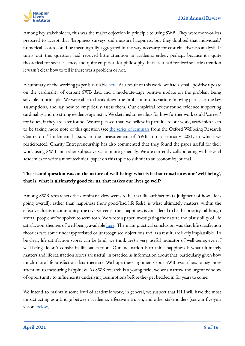

Among key stakeholders, this was the major objection in principle to using SWB. They were more-or-less prepared to accept that 'happiness surveys' did measure happiness, but they doubted that individuals' numerical scores could be meaningfully aggregated in the way necessary for cost-effectiveness analysis. It turns out this question had received little attention in academia either, perhaps because it's quite theoretical for social science, and quite empirical for philosophy. In fact, it had received so little attention it wasn't clear how to tell if there was a problem or not.

A summary of the working paper is available [here](https://www.happierlivesinstitute.org/subjective-scales-comparability.html). As a result of this work, we had a small, positive update on the cardinality of current SWB data and a moderate-large positive update on the problem being solvable in principle. We were able to break down the problem into its various 'moving parts', i.e. the key assumptions, and say how to empirically assess them. Our empirical review found evidence supporting cardinality and no strong evidence against it. We sketched some ideas for how further work could 'correct' for issues, if they are later found. We are pleased that, we believe in part due to our work, academics seem to be taking more note of this question (see [the series of seminars](https://wellbeing.hmc.ox.ac.uk/seminars#tab-2324081) from the Oxford Wellbeing Research Centre on "fundamental issues in the measurement of SWB" on 4 February 2021, in which we participated). Charity Entrepreneurship has also commented that they found the paper useful for their work using SWB and other subjective scales more generally. We are currently collaborating with several academics to write a more technical paper on this topic to submit to an economics journal.

### **The second question was on the nature of well-being: what is it that constitutes our 'well-being', that is, what is ultimately good for us, that makes our lives go well?**

Among SWB researchers the dominant view seems to be that life satisfaction (a judgment of how life is going overall), rather than happiness (how good/bad life feels), is what ultimately matters; within the effective altruism community, the reverse seems true - happiness is considered to be the priority - although several people we've spoken to seem torn. We wrote a paper investigating the nature and plausibility of life satisfaction theories of well-being, available <u>[here](https://www.happierlivesinstitute.org/life-satisfaction-theories.html)</u>. The main practical conclusion was that life satisfaction theories face some underappreciated or unrecognised objections and, as a result, are likely implausible. To be clear, life satisfaction scores can be (and, we think are) a very useful indicator of well-being, even if well-being doesn't consist in life satisfaction. Our inclination is to think happiness is what ultimately matters and life satisfaction scores are useful, in practice, as information about that, particularly given how much more life satisfaction data there are. We hope these arguments spur SWB researchers to pay more attention to measuring happiness. As SWB research is a young field, we see a narrow and urgent window of opportunity to influence its underlying assumptions before they get bedded in for years to come.

We intend to maintain some level of academic work; in general, we suspect that HLI will have the most impact acting as a bridge between academia, effective altruism, and other stakeholders (see our five-year vision, below).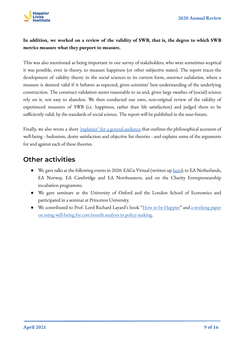

### **In addition, we worked on a review of the validity of SWB, that is, the degree to which SWB metrics measure what they purport to measure.**

This was also mentioned as being important in our survey of stakeholders, who were sometimes sceptical it was possible, even in theory, to measure happiness (or other subjective states). The report traces the development of validity theory in the social sciences to its current form, *construct validation*, where a measure is deemed valid if it behaves as expected, given scientists' best understanding of the underlying construction. The construct validation seems reasonable to us and, given large swathes of (social) science rely on it, not easy to abandon. We then conducted our own, non-original review of the validity of experienced measures of SWB (i.e. happiness, rather than life satisfaction) and judged them to be sufficiently valid, by the standards of social science. The report will be published in the near-future.

Finally, we also wrote a short ['explainer' for a general audience](https://www.happierlivesinstitute.org/intro_philosophy_of_well-being.html) that outlines the philosophical accounts of well-being - hedonism, desire satisfaction and objective list theories - and explains some of the arguments for and against each of these theories.

### <span id="page-9-0"></span>**Other activities**

- We gave talks at the following events in 2020: EAGx Virtual (written up [here](https://www.effectivealtruism.org/articles/jasper-synowski-and-clare-donaldson-identifying-the-most-cost-effective/)); to EA Netherlands, EA Norway, EA Cambridge and EA Northeastern; and on the Charity Entrepreneurship incubation programme.
- We gave seminars at the University of Oxford and the London School of Economics and participated in a seminar at Princeton University.
- We contributed to Prof. Lord Richard Layard's book "[How to be Happier"](https://www.penguin.co.uk/books/307/307159/can-we-be-happier-/9780241430002.html) and [a working paper](https://cep.lse.ac.uk/_new/PUBLICATIONS/abstract.asp?index=6976) [on using well-being for cost-benefit analysis in policy-making.](https://cep.lse.ac.uk/_new/PUBLICATIONS/abstract.asp?index=6976)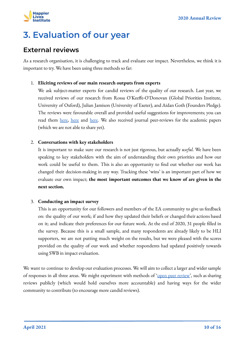

# <span id="page-10-0"></span>**3. Evaluation of our year**

### <span id="page-10-1"></span>**External reviews**

As a research organisation, it is challenging to track and evaluate our impact. Nevertheless, we think it is important to try. We have been using three methods so far:

#### 1. **Eliciting reviews of our main research outputs from experts**

We ask subject-matter experts for candid reviews of the quality of our research. Last year, we received reviews of our research from Rossa O'Keeffe-O'Donovan (Global Priorities Institute, University of Oxford), Julian Jamison (University of Exeter), and Aidan Goth (Founders Pledge). The reviews were favourable overall and provided useful suggestions for improvements; you can read them [here](https://forum.effectivealtruism.org/posts/xftyTFhf4YigZsivn/comments-on-using-subjective-well-being-to-estimate-the), here and here. We also received journal peer-reviews for the academic papers (which we are not able to share yet).

#### 2. **Conversations with key stakeholders**

It is important to make sure our research is not just rigorous, but actually *useful.* We have been speaking to key stakeholders with the aim of understanding their own priorities and how our work could be useful to them. This is also an opportunity to find out whether our work has changed their decision-making in any way. Tracking these 'wins' is an important part of how we evaluate our own impact; **the most important outcomes that we know of are given in the next section.**

#### 3. **Conducting an impact survey**

This is an opportunity for our followers and members of the EA community to give us feedback on: the quality of our work; if and how they updated their beliefs or changed their actions based on it; and indicate their preferences for our future work. At the end of 2020, 31 people filled in the survey. Because this is a small sample, and many respondents are already likely to be HLI supporters, we are not putting much weight on the results, but we were pleased with the scores provided on the quality of our work and whether respondents had updated positively towards using SWB in impact evaluation.

We want to continue to develop our evaluation processes. We will aim to collect a larger and wider sample of responses in all three areas. We might experiment with methods of '<u>open peer review</u>', such as sharing reviews publicly (which would hold ourselves more accountable) and having ways for the wider community to contribute (to encourage more candid reviews).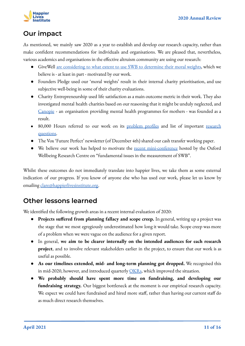

### <span id="page-11-0"></span>**Our impact**

As mentioned, we mainly saw 2020 as a year to establish and develop our research capacity, rather than make confident recommendations for individuals and organisations. We are pleased that, nevertheless, various academics and organisations in the effective altruism community are using our research:

- GiveWell [are considering to what extent to use SWB to determine their moral weights](https://docs.google.com/document/d/16hDzQvdQ7dhOoFlewNK9cMuq5Kox3ZxR2CpCZwKUtJg/edit), which we believe is - at least in part - motivated by our work.
- Founders Pledge used our 'moral weights' result in their internal charity prioritisation, and use subjective well-being in some of their charity evaluations.
- Charity Entrepreneurship used life satisfaction as a main outcome metric in their work. They also investigated mental health charities based on our reasoning that it might be unduly neglected, and [Canopie](https://www.canopie.org/) - an organisation providing mental health programmes for mothers - was founded as a result.
- 80,000 Hours referred to our work on its [problem profiles](https://80000hours.org/problem-profiles/#mental-health) and list of important [research](https://80000hours.org/articles/research-questions-by-discipline/) [questions.](https://80000hours.org/articles/research-questions-by-discipline/)
- The Vox 'Future Perfect' newsletter (of December 4th) shared our cash transfer working paper.
- We believe our work has helped to motivate the [recent mini-conference](https://wellbeing.hmc.ox.ac.uk/seminars#/tab-2324081) hosted by the Oxford Wellbeing Research Centre on "fundamental issues in the measurement of SWB".

Whilst these outcomes do not immediately translate into happier lives, we take them as some external indication of our progress. If you know of anyone else who has used our work, please let us know by emailing [clare@happierlivesinstitute.org.](mailto:clare@happierlivesinstiutte.org)

### <span id="page-11-1"></span>**Other lessons learned**

We identified the following growth areas in a recent internal evaluation of 2020:

- **Projects suffered from planning fallacy and scope creep.** In general, writing up a project was the stage that we most egregiously underestimated how long it would take. Scope creep was more of a problem when we were vague on the audience for a given report.
- In general, **we aim to be clearer internally on the intended audiences for each research project**, and to involve relevant stakeholders earlier in the project, to ensure that our work is as useful as possible.
- **As our timelines extended, mid- and long-term planning got dropped.** We recognised this in mid-2020, however, and introduced quarterly  $\overline{\text{OKR}_s}$ , which improved the situation.
- **We probably should have spent more time on fundraising, and developing our fundraising strategy.** Our biggest bottleneck at the moment is our empirical research capacity. We expect we could have fundraised and hired more staff, rather than having our current staff do as much direct research themselves.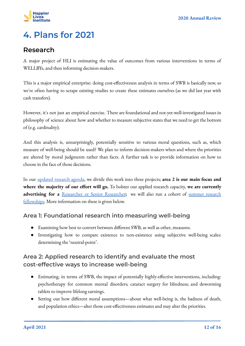

# <span id="page-12-0"></span>**4. Plans for 2021**

### <span id="page-12-1"></span>**Research**

A major project of HLI is estimating the value of outcomes from various interventions in terms of WELLBYs, and then informing decision-makers.

This is a major empirical enterprise: doing cost-effectiveness analysis in terms of SWB is basically new, so we're often having to scrape existing studies to create these estimates ourselves (as we did last year with cash transfers).

However, it's not just an empirical exercise. There are foundational and not-yet-well-investigated issues in philosophy of science about how and whether to measure subjective states that we need to get the bottom of (e.g. cardinality).

And this analysis is, unsurprisingly, potentially sensitive to various moral questions, such as, which measure of well-being should be used? We plan to inform decision-makers when and where the priorities are altered by moral judgments rather than facts. A further task is to provide information on how to choose in the face of those decisions.

In our [updated research agenda](https://www.happierlivesinstitute.org/research-agenda.html), we divide this work into three projects; **area 2 is our main focus and where the majority of our effort will go.** To bolster our applied research capacity, **we are currently** advertising for a [Researcher or Senior Researcher](https://www.happierlivesinstitute.org/vacancies.html); we will also run a cohort of [summer research](https://www.happierlivesinstitute.org/vacancies.html) [fellowships.](https://www.happierlivesinstitute.org/vacancies.html) More information on these is given below.

### **Area 1: Foundational research into measuring well-being**

- Examining how best to convert between different SWB, as well as other, measures.
- Investigating how to compare existence to non-existence using subjective well-being scales: determining the 'neutral-point'.

### **Area 2: Applied research to identify and evaluate the most cost-effective ways to increase well-being**

- Estimating, in terms of SWB, the impact of potentially highly-effective interventions, including: psychotherapy for common mental disorders; cataract surgery for blindness; and deworming tablets to improve lifelong earnings.
- Setting out how different moral assumptions—about what well-being is, the badness of death, and population ethics—alter those cost-effectiveness estimates and may alter the priorities.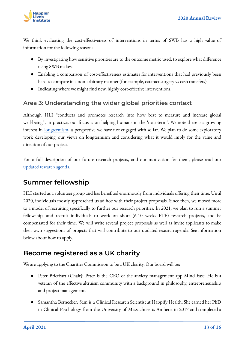

We think evaluating the cost-effectiveness of interventions in terms of SWB has a high value of information for the following reasons:

- By investigating how sensitive priorities are to the outcome metric used, to explore what difference using SWB makes.
- Enabling a comparison of cost-effectiveness estimates for interventions that had previously been hard to compare in a non-arbitrary manner (for example, cataract surgery vs cash transfers).
- Indicating where we might find new, highly cost-effective interventions.

### **Area 3: Understanding the wider global priorities context**

Although HLI "conducts and promotes research into how best to measure and increase global well-being", in practice, our focus is on helping humans in the 'near-term'. We note there is a growing interest in <u>[longtermism](https://www.effectivealtruism.org/articles/cause-profile-long-run-future/)</u>, a perspective we have not engaged with so far. We plan to do some exploratory work developing our views on longtermism and considering what it would imply for the value and direction of our project.

For a full description of our future research projects, and our motivation for them, please read our [updated research agenda](https://www.happierlivesinstitute.org/research-agenda.html).

### <span id="page-13-0"></span>**Summer fellowship**

HLI started as a volunteer group and has benefited enormously from individuals offering their time. Until 2020, individuals mostly approached us ad hoc with their project proposals. Since then, we moved more to a model of recruiting specifically to further our research priorities. In 2021, we plan to run a summer fellowship, and recruit individuals to work on short (6-10 weeks FTE) research projects, and be compensated for their time. We will write several project proposals as well as invite applicants to make their own suggestions of projects that will contribute to our updated research agenda. See information below about how to apply.

### <span id="page-13-1"></span>**Become registered as a UK charity**

We are applying to the Charities Commission to be a UK charity. Our board will be:

- Peter Brietbart (Chair): Peter is the CEO of the anxiety management app Mind Ease. He is a veteran of the effective altruism community with a background in philosophy, entrepreneurship and project management.
- Samantha Bernecker: Sam is a Clinical Research Scientist at Happify Health. She earned her PhD in Clinical Psychology from the University of Massachusetts Amherst in 2017 and completed a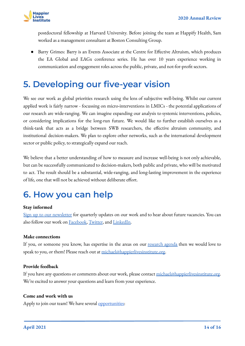

postdoctoral fellowship at Harvard University. Before joining the team at Happify Health, Sam worked as a management consultant at Boston Consulting Group.

● Barry Grimes: Barry is an Events Associate at the Centre for Effective Altruism, which produces the EA Global and EAGx conference series. He has over 10 years experience working in communication and engagement roles across the public, private, and not-for-profit sectors.

# <span id="page-14-0"></span>**5. Developing our five-year vision**

We see our work as global priorities research using the lens of subjective well-being. Whilst our current applied work is fairly narrow - focussing on micro-interventions in LMICs - the potential applications of our research are wide-ranging. We can imagine expanding our analysis to systemic interventions, policies, or considering implications for the long-run future. We would like to further establish ourselves as a think-tank that acts as a bridge between SWB researchers, the effective altruism community, and institutional decision-makers. We plan to explore other networks, such as the international development sector or public policy, to strategically expand our reach.

We believe that a better understanding of how to measure and increase well-being is not only achievable, but can be successfully communicated to decision-makers, both public and private, who will be motivated to act. The result should be a substantial, wide-ranging, and long-lasting improvement in the experience of life, one that will not be achieved without deliberate effort.

# <span id="page-14-1"></span>**6. How you can help**

#### **Stay informed**

[Sign up to our newsletter](https://www.happierlivesinstitute.org/) for quarterly updates on our work and to hear about future vacancies. You can also follow our work on [Facebook,](https://www.facebook.com/happierlivesinstitute/) [Twitter](https://twitter.com/HappierLivesIns), and [LinkedIn.](https://www.linkedin.com/company/19170319)

#### **Make connections**

If you, or someone you know, has expertise in the areas on our [research agenda](https://www.happierlivesinstitute.org/research-agenda.html) then we would love to speak to you, or them! Please reach out at [michael@happierlivesinstitute.org.](mailto:michael@happierlivesinstitute.org)

#### **Provide feedback**

If you have any questions or comments about our work, please contact [michael@happierlivesinstitute.org](mailto:michael@happierlivesinstitute.org). We're excited to answer your questions and learn from your experience.

#### **Come and work with us**

Apply to join our team! We have several [opportunities:](https://www.happierlivesinstitute.org/vacancies.html)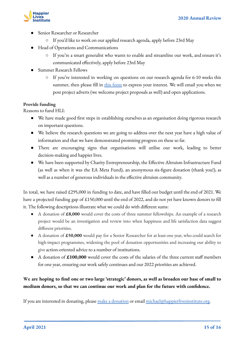

- Senior Researcher or Researcher
	- If you'd like to work on our applied research agenda, apply before 23rd May
- Head of Operations and Communications
	- If you're a smart generalist who wants to enable and streamline our work, and ensure it's communicated effectively, apply before 23rd May
- **Summer Research Fellows** 
	- If you're interested in working on questions on our research agenda for 6-10 weeks this summer, then please fill in [this form](https://docs.google.com/forms/d/e/1FAIpQLSetyvKaOeMJtLIh9ctVUU2Ym6257oy4dgCSYBE1tAY9eL7NMA/viewform?usp=sf_link) to express your interest. We will email you when we post project adverts (we welcome project proposals as well) and open applications.

#### **Provide funding**

Reasons to fund HLI:

- We have made good first steps in establishing ourselves as an organisation doing rigorous research on important questions.
- We believe the research questions we are going to address over the next year have a high value of information and that we have demonstrated promising progress on these so far.
- There are encouraging signs that organisations will utilise our work, leading to better decision-making and happier lives.
- We have been supported by Charity Entrepreneurship, the Effective Altruism Infrastructure Fund (as well as when it was the EA Meta Fund), an anonymous six-figure donation (thank you!), as well as a number of generous individuals in the effective altruism community.

In total, we have raised £295,000 in funding to date, and have filled our budget until the end of 2021. We have a projected funding gap of £150,000 until the end of 2022, and do not yet have known donors to fill it. The following descriptions illustrate what we could do with different sums:

- A donation of **£8,000** would cover the costs of three summer fellowships. An example of a research project would be an investigation and review into when happiness and life satisfaction data suggest different priorities.
- A donation of **£50,000** would pay for a Senior Researcher for at least one year, who could search for high-impact programmes, widening the pool of donation opportunities and increasing our ability to give action-oriented advice to a number of institutions.
- A donation of £100,000 would cover the costs of the salaries of the three current staff members for one year, ensuring our work safely continues and our 2022 priorities are achieved.

### **We are hoping to find one or two large 'strategic' donors, as well as broaden our base of small to medium donors, so that we can continue our work and plan for the future with confidence.**

If you are interested in donating, please [make a donation](https://www.happierlivesinstitute.org/donate.html) or email [michael@happierlivesinstitute.org](mailto:michael@happierlivesinstitute.org).